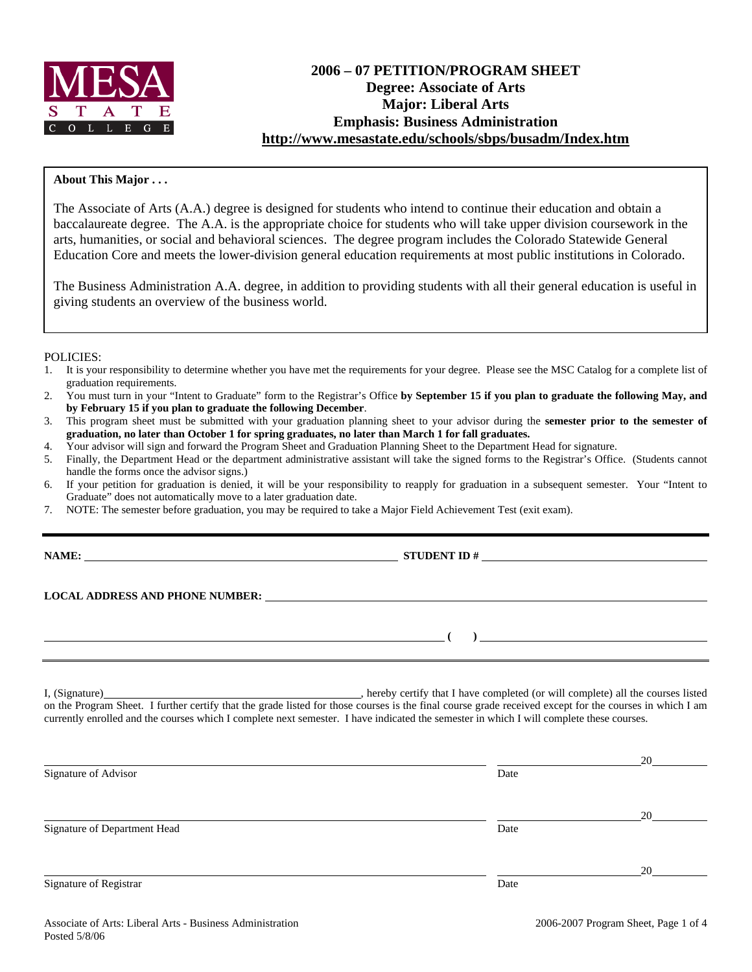

# **2006 – 07 PETITION/PROGRAM SHEET Degree: Associate of Arts Major: Liberal Arts Emphasis: Business Administration http://www.mesastate.edu/schools/sbps/busadm/Index.htm**

## **About This Major . . .**

The Associate of Arts (A.A.) degree is designed for students who intend to continue their education and obtain a baccalaureate degree. The A.A. is the appropriate choice for students who will take upper division coursework in the arts, humanities, or social and behavioral sciences. The degree program includes the Colorado Statewide General Education Core and meets the lower-division general education requirements at most public institutions in Colorado.

The Business Administration A.A. degree, in addition to providing students with all their general education is useful in giving students an overview of the business world.

## POLICIES:

- 1. It is your responsibility to determine whether you have met the requirements for your degree. Please see the MSC Catalog for a complete list of graduation requirements.
- 2. You must turn in your "Intent to Graduate" form to the Registrar's Office **by September 15 if you plan to graduate the following May, and by February 15 if you plan to graduate the following December**.
- 3. This program sheet must be submitted with your graduation planning sheet to your advisor during the **semester prior to the semester of graduation, no later than October 1 for spring graduates, no later than March 1 for fall graduates.**
- 4. Your advisor will sign and forward the Program Sheet and Graduation Planning Sheet to the Department Head for signature.
- 5. Finally, the Department Head or the department administrative assistant will take the signed forms to the Registrar's Office. (Students cannot handle the forms once the advisor signs.)
- 6. If your petition for graduation is denied, it will be your responsibility to reapply for graduation in a subsequent semester. Your "Intent to Graduate" does not automatically move to a later graduation date.
- 7. NOTE: The semester before graduation, you may be required to take a Major Field Achievement Test (exit exam).

**NAME: STUDENT ID #**

 **(** ) <u> **(** ) in the set of  $($  in the set of  $($  in the set of  $($  in the set of  $($  in the set of  $($  in the set of  $($  in the set of  $($  in the set of  $($  in the set of  $($  in the set of  $($  in the set of  $($  in the se</u>

**LOCAL ADDRESS AND PHONE NUMBER:**

I, (Signature) **Manual Completed** (or will complete) all the courses listed on the Program Sheet. I further certify that the grade listed for those courses is the final course grade received except for the courses in which I am currently enrolled and the courses which I complete next semester. I have indicated the semester in which I will complete these courses.

|                              |      | 20 |
|------------------------------|------|----|
| Signature of Advisor         | Date |    |
|                              |      | 20 |
| Signature of Department Head | Date |    |
|                              |      | 20 |
| Signature of Registrar       | Date |    |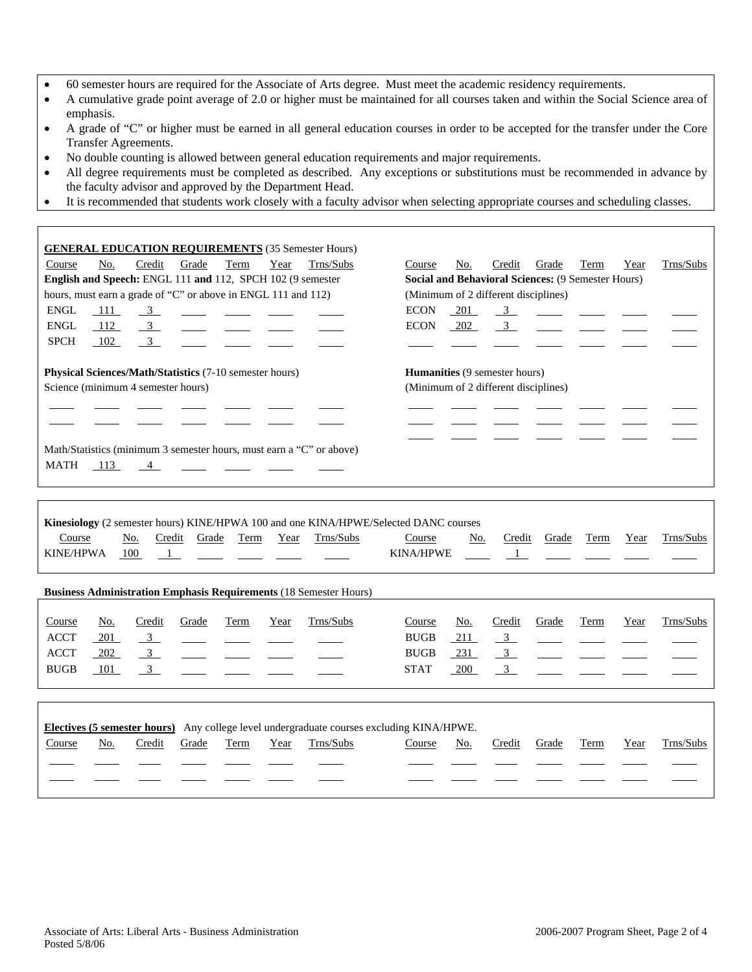- 60 semester hours are required for the Associate of Arts degree. Must meet the academic residency requirements.
- A cumulative grade point average of 2.0 or higher must be maintained for all courses taken and within the Social Science area of emphasis.
- A grade of "C" or higher must be earned in all general education courses in order to be accepted for the transfer under the Core Transfer Agreements.
- No double counting is allowed between general education requirements and major requirements.
- All degree requirements must be completed as described. Any exceptions or substitutions must be recommended in advance by the faculty advisor and approved by the Department Head.
- It is recommended that students work closely with a faculty advisor when selecting appropriate courses and scheduling classes.

| <b>GENERAL EDUCATION REQUIREMENTS</b> (35 Semester Hours)                                     |                                                                       |
|-----------------------------------------------------------------------------------------------|-----------------------------------------------------------------------|
| No.<br>Credit<br>Grade<br>Year<br>Trns/Subs<br>Course<br>Term                                 | Trns/Subs<br>No.<br>Credit<br>Grade<br>Term<br>Year<br>Course         |
| English and Speech: ENGL 111 and 112, SPCH 102 (9 semester                                    | Social and Behavioral Sciences: (9 Semester Hours)                    |
| hours, must earn a grade of "C" or above in ENGL 111 and 112)                                 | (Minimum of 2 different disciplines)                                  |
| <b>ENGL</b><br>111<br>$\frac{3}{2}$<br>$\frac{1}{2}$                                          | <b>ECON</b><br>201<br>$\frac{3}{2}$                                   |
| <b>ENGL</b><br>$\frac{3}{2}$<br>112                                                           | $\overline{3}$<br><b>ECON</b><br>202                                  |
| <b>SPCH</b><br>102<br>$\overline{3}$                                                          |                                                                       |
| Physical Sciences/Math/Statistics (7-10 semester hours)<br>Science (minimum 4 semester hours) | Humanities (9 semester hours)<br>(Minimum of 2 different disciplines) |
|                                                                                               |                                                                       |
|                                                                                               |                                                                       |
|                                                                                               |                                                                       |
| Math/Statistics (minimum 3 semester hours, must earn a "C" or above)<br>MATH                  |                                                                       |
| 113<br>$\sim$ 4                                                                               |                                                                       |
|                                                                                               |                                                                       |
|                                                                                               |                                                                       |
| Kinesiology (2 semester hours) KINE/HPWA 100 and one KINA/HPWE/Selected DANC courses          |                                                                       |
| Term<br>Course<br>Credit<br>Grade<br>Year<br>Trns/Subs<br>No.                                 | Trns/Subs<br>Course<br>No.<br>Credit<br>Grade<br>Term<br>Year         |
| <b>KINE/HPWA</b><br>100<br>$\overline{1}$<br><b>Contract Contract</b>                         | <b>KINA/HPWE</b><br>$\overline{1}$                                    |
|                                                                                               |                                                                       |
| <b>Business Administration Emphasis Requirements (18 Semester Hours)</b>                      |                                                                       |
|                                                                                               |                                                                       |
| Trns/Subs<br>Term<br>Course<br>No.<br>Credit<br>Grade<br>Year                                 | Trns/Subs<br>Course<br>Credit<br>Grade<br>Term<br>No.<br>Year         |
| <b>ACCT</b><br>201<br>$\frac{3}{2}$                                                           | $\overline{\mathbf{3}}$<br><b>BUGB</b><br>211                         |
| <b>ACCT</b><br>202<br>$\overline{3}$                                                          | <b>BUGB</b><br>231<br>$\overline{3}$                                  |
| <b>BUGB</b><br>$\overline{\mathbf{3}}$<br>101                                                 | $\overline{3}$<br><b>STAT</b><br>200                                  |
|                                                                                               |                                                                       |
|                                                                                               |                                                                       |
| Electives (5 semester hours) Any college level undergraduate courses excluding KINA/HPWE.     |                                                                       |

Course No. Credit Grade Term Year Trns/Subs Course No. Credit Grade Term Year Trns/Subs

֦ ֦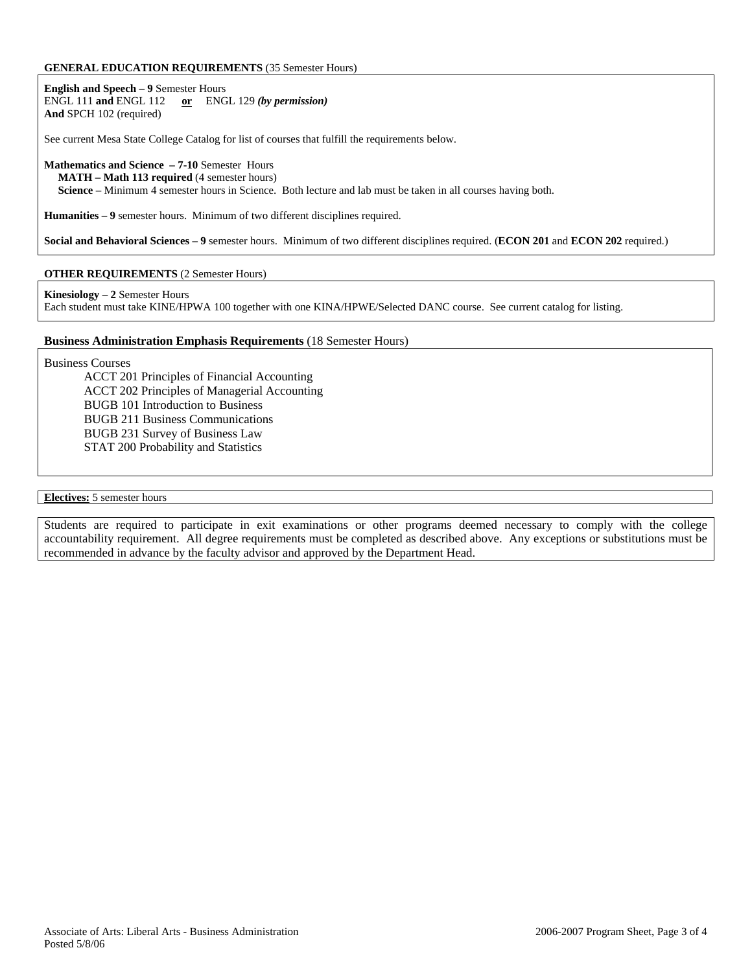### **GENERAL EDUCATION REQUIREMENTS** (35 Semester Hours)

**English and Speech – 9** Semester Hours ENGL 111 **and** ENGL 112 **or** ENGL 129 *(by permission)* **And** SPCH 102 (required)

See current Mesa State College Catalog for list of courses that fulfill the requirements below.

### **Mathematics and Science – 7-10** Semester Hours

 **MATH – Math 113 required** (4 semester hours)

 **Science** – Minimum 4 semester hours in Science. Both lecture and lab must be taken in all courses having both.

**Humanities – 9** semester hours. Minimum of two different disciplines required.

**Social and Behavioral Sciences – 9** semester hours. Minimum of two different disciplines required. (**ECON 201** and **ECON 202** required.)

## **OTHER REQUIREMENTS** (2 Semester Hours)

#### **Kinesiology – 2** Semester Hours

Each student must take KINE/HPWA 100 together with one KINA/HPWE/Selected DANC course. See current catalog for listing.

## **Business Administration Emphasis Requirements** (18 Semester Hours)

Business Courses

ACCT 201 Principles of Financial Accounting ACCT 202 Principles of Managerial Accounting BUGB 101 Introduction to Business BUGB 211 Business Communications BUGB 231 Survey of Business Law STAT 200 Probability and Statistics

### **Electives:** 5 semester hours

Students are required to participate in exit examinations or other programs deemed necessary to comply with the college accountability requirement. All degree requirements must be completed as described above. Any exceptions or substitutions must be recommended in advance by the faculty advisor and approved by the Department Head.